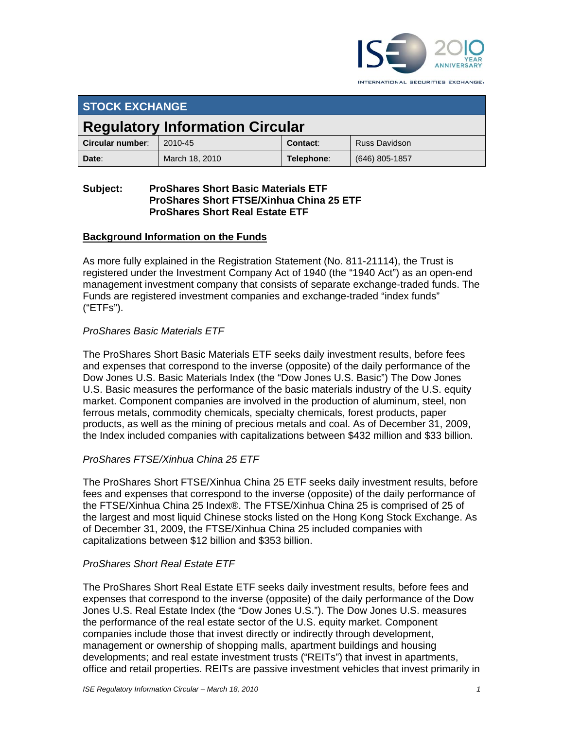

INTERNATIONAL SECURITIES EXCHANGE.

| <b>STOCK EXCHANGE</b>                  |                |            |                      |  |
|----------------------------------------|----------------|------------|----------------------|--|
| <b>Regulatory Information Circular</b> |                |            |                      |  |
| Circular number:                       | 2010-45        | Contact:   | <b>Russ Davidson</b> |  |
| Date:                                  | March 18, 2010 | Telephone: | (646) 805-1857       |  |

## **Subject: ProShares Short Basic Materials ETF ProShares Short FTSE/Xinhua China 25 ETF ProShares Short Real Estate ETF**

## **Background Information on the Funds**

As more fully explained in the Registration Statement (No. 811-21114), the Trust is registered under the Investment Company Act of 1940 (the "1940 Act") as an open-end management investment company that consists of separate exchange-traded funds. The Funds are registered investment companies and exchange-traded "index funds" ("ETFs").

## *ProShares Basic Materials ETF*

The ProShares Short Basic Materials ETF seeks daily investment results, before fees and expenses that correspond to the inverse (opposite) of the daily performance of the Dow Jones U.S. Basic Materials Index (the "Dow Jones U.S. Basic") The Dow Jones U.S. Basic measures the performance of the basic materials industry of the U.S. equity market. Component companies are involved in the production of aluminum, steel, non ferrous metals, commodity chemicals, specialty chemicals, forest products, paper products, as well as the mining of precious metals and coal. As of December 31, 2009, the Index included companies with capitalizations between \$432 million and \$33 billion.

## *ProShares FTSE/Xinhua China 25 ETF*

The ProShares Short FTSE/Xinhua China 25 ETF seeks daily investment results, before fees and expenses that correspond to the inverse (opposite) of the daily performance of the FTSE/Xinhua China 25 Index®. The FTSE/Xinhua China 25 is comprised of 25 of the largest and most liquid Chinese stocks listed on the Hong Kong Stock Exchange. As of December 31, 2009, the FTSE/Xinhua China 25 included companies with capitalizations between \$12 billion and \$353 billion.

## *ProShares Short Real Estate ETF*

The ProShares Short Real Estate ETF seeks daily investment results, before fees and expenses that correspond to the inverse (opposite) of the daily performance of the Dow Jones U.S. Real Estate Index (the "Dow Jones U.S."). The Dow Jones U.S. measures the performance of the real estate sector of the U.S. equity market. Component companies include those that invest directly or indirectly through development, management or ownership of shopping malls, apartment buildings and housing developments; and real estate investment trusts ("REITs") that invest in apartments, office and retail properties. REITs are passive investment vehicles that invest primarily in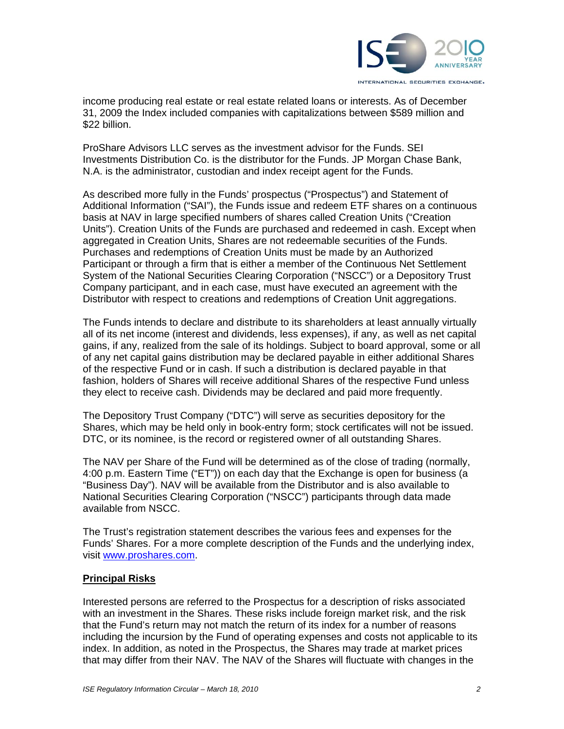

income producing real estate or real estate related loans or interests. As of December 31, 2009 the Index included companies with capitalizations between \$589 million and \$22 billion.

ProShare Advisors LLC serves as the investment advisor for the Funds. SEI Investments Distribution Co. is the distributor for the Funds. JP Morgan Chase Bank, N.A. is the administrator, custodian and index receipt agent for the Funds.

As described more fully in the Funds' prospectus ("Prospectus") and Statement of Additional Information ("SAI"), the Funds issue and redeem ETF shares on a continuous basis at NAV in large specified numbers of shares called Creation Units ("Creation Units"). Creation Units of the Funds are purchased and redeemed in cash. Except when aggregated in Creation Units, Shares are not redeemable securities of the Funds. Purchases and redemptions of Creation Units must be made by an Authorized Participant or through a firm that is either a member of the Continuous Net Settlement System of the National Securities Clearing Corporation ("NSCC") or a Depository Trust Company participant, and in each case, must have executed an agreement with the Distributor with respect to creations and redemptions of Creation Unit aggregations.

The Funds intends to declare and distribute to its shareholders at least annually virtually all of its net income (interest and dividends, less expenses), if any, as well as net capital gains, if any, realized from the sale of its holdings. Subject to board approval, some or all of any net capital gains distribution may be declared payable in either additional Shares of the respective Fund or in cash. If such a distribution is declared payable in that fashion, holders of Shares will receive additional Shares of the respective Fund unless they elect to receive cash. Dividends may be declared and paid more frequently.

The Depository Trust Company ("DTC") will serve as securities depository for the Shares, which may be held only in book-entry form; stock certificates will not be issued. DTC, or its nominee, is the record or registered owner of all outstanding Shares.

The NAV per Share of the Fund will be determined as of the close of trading (normally, 4:00 p.m. Eastern Time ("ET")) on each day that the Exchange is open for business (a "Business Day"). NAV will be available from the Distributor and is also available to National Securities Clearing Corporation ("NSCC") participants through data made available from NSCC.

The Trust's registration statement describes the various fees and expenses for the Funds' Shares. For a more complete description of the Funds and the underlying index, visit www.proshares.com.

## **Principal Risks**

Interested persons are referred to the Prospectus for a description of risks associated with an investment in the Shares. These risks include foreign market risk, and the risk that the Fund's return may not match the return of its index for a number of reasons including the incursion by the Fund of operating expenses and costs not applicable to its index. In addition, as noted in the Prospectus, the Shares may trade at market prices that may differ from their NAV. The NAV of the Shares will fluctuate with changes in the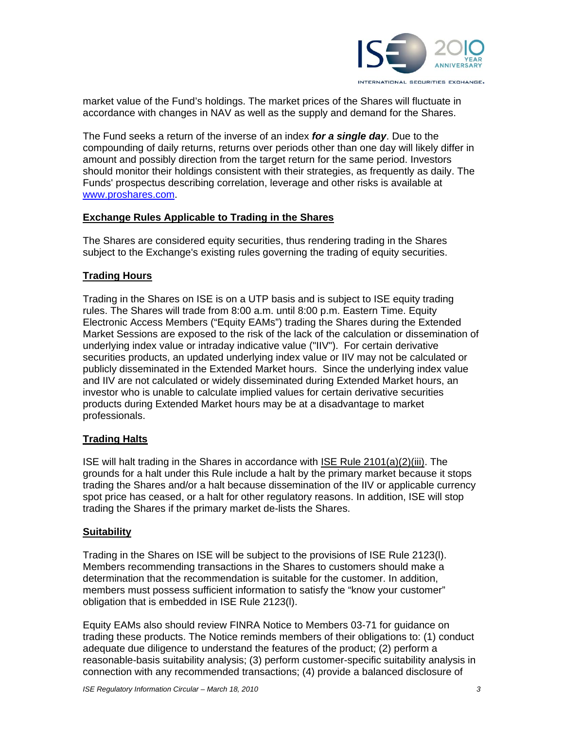

market value of the Fund's holdings. The market prices of the Shares will fluctuate in accordance with changes in NAV as well as the supply and demand for the Shares.

The Fund seeks a return of the inverse of an index *for a single day*. Due to the compounding of daily returns, returns over periods other than one day will likely differ in amount and possibly direction from the target return for the same period. Investors should monitor their holdings consistent with their strategies, as frequently as daily. The Funds' prospectus describing correlation, leverage and other risks is available at www.proshares.com.

#### **Exchange Rules Applicable to Trading in the Shares**

The Shares are considered equity securities, thus rendering trading in the Shares subject to the Exchange's existing rules governing the trading of equity securities.

## **Trading Hours**

Trading in the Shares on ISE is on a UTP basis and is subject to ISE equity trading rules. The Shares will trade from 8:00 a.m. until 8:00 p.m. Eastern Time. Equity Electronic Access Members ("Equity EAMs") trading the Shares during the Extended Market Sessions are exposed to the risk of the lack of the calculation or dissemination of underlying index value or intraday indicative value ("IIV"). For certain derivative securities products, an updated underlying index value or IIV may not be calculated or publicly disseminated in the Extended Market hours. Since the underlying index value and IIV are not calculated or widely disseminated during Extended Market hours, an investor who is unable to calculate implied values for certain derivative securities products during Extended Market hours may be at a disadvantage to market professionals.

## **Trading Halts**

ISE will halt trading in the Shares in accordance with ISE Rule 2101(a)(2)(iii). The grounds for a halt under this Rule include a halt by the primary market because it stops trading the Shares and/or a halt because dissemination of the IIV or applicable currency spot price has ceased, or a halt for other regulatory reasons. In addition, ISE will stop trading the Shares if the primary market de-lists the Shares.

## **Suitability**

Trading in the Shares on ISE will be subject to the provisions of ISE Rule 2123(l). Members recommending transactions in the Shares to customers should make a determination that the recommendation is suitable for the customer. In addition, members must possess sufficient information to satisfy the "know your customer" obligation that is embedded in ISE Rule 2123(l).

Equity EAMs also should review FINRA Notice to Members 03-71 for guidance on trading these products. The Notice reminds members of their obligations to: (1) conduct adequate due diligence to understand the features of the product; (2) perform a reasonable-basis suitability analysis; (3) perform customer-specific suitability analysis in connection with any recommended transactions; (4) provide a balanced disclosure of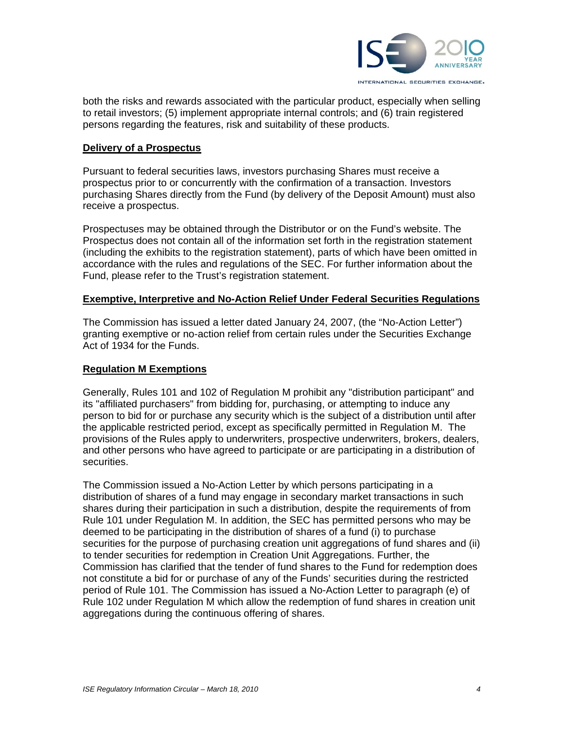

both the risks and rewards associated with the particular product, especially when selling to retail investors; (5) implement appropriate internal controls; and (6) train registered persons regarding the features, risk and suitability of these products.

#### **Delivery of a Prospectus**

Pursuant to federal securities laws, investors purchasing Shares must receive a prospectus prior to or concurrently with the confirmation of a transaction. Investors purchasing Shares directly from the Fund (by delivery of the Deposit Amount) must also receive a prospectus.

Prospectuses may be obtained through the Distributor or on the Fund's website. The Prospectus does not contain all of the information set forth in the registration statement (including the exhibits to the registration statement), parts of which have been omitted in accordance with the rules and regulations of the SEC. For further information about the Fund, please refer to the Trust's registration statement.

## **Exemptive, Interpretive and No-Action Relief Under Federal Securities Regulations**

The Commission has issued a letter dated January 24, 2007, (the "No-Action Letter") granting exemptive or no-action relief from certain rules under the Securities Exchange Act of 1934 for the Funds.

### **Regulation M Exemptions**

Generally, Rules 101 and 102 of Regulation M prohibit any "distribution participant" and its "affiliated purchasers" from bidding for, purchasing, or attempting to induce any person to bid for or purchase any security which is the subject of a distribution until after the applicable restricted period, except as specifically permitted in Regulation M. The provisions of the Rules apply to underwriters, prospective underwriters, brokers, dealers, and other persons who have agreed to participate or are participating in a distribution of securities.

The Commission issued a No-Action Letter by which persons participating in a distribution of shares of a fund may engage in secondary market transactions in such shares during their participation in such a distribution, despite the requirements of from Rule 101 under Regulation M. In addition, the SEC has permitted persons who may be deemed to be participating in the distribution of shares of a fund (i) to purchase securities for the purpose of purchasing creation unit aggregations of fund shares and (ii) to tender securities for redemption in Creation Unit Aggregations. Further, the Commission has clarified that the tender of fund shares to the Fund for redemption does not constitute a bid for or purchase of any of the Funds' securities during the restricted period of Rule 101. The Commission has issued a No-Action Letter to paragraph (e) of Rule 102 under Regulation M which allow the redemption of fund shares in creation unit aggregations during the continuous offering of shares.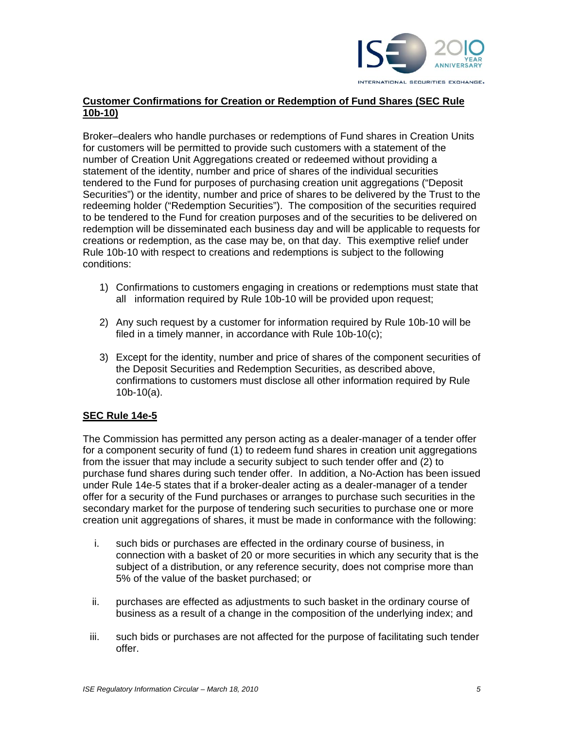

## **Customer Confirmations for Creation or Redemption of Fund Shares (SEC Rule 10b-10)**

Broker–dealers who handle purchases or redemptions of Fund shares in Creation Units for customers will be permitted to provide such customers with a statement of the number of Creation Unit Aggregations created or redeemed without providing a statement of the identity, number and price of shares of the individual securities tendered to the Fund for purposes of purchasing creation unit aggregations ("Deposit Securities") or the identity, number and price of shares to be delivered by the Trust to the redeeming holder ("Redemption Securities"). The composition of the securities required to be tendered to the Fund for creation purposes and of the securities to be delivered on redemption will be disseminated each business day and will be applicable to requests for creations or redemption, as the case may be, on that day. This exemptive relief under Rule 10b-10 with respect to creations and redemptions is subject to the following conditions:

- 1) Confirmations to customers engaging in creations or redemptions must state that all information required by Rule 10b-10 will be provided upon request;
- 2) Any such request by a customer for information required by Rule 10b-10 will be filed in a timely manner, in accordance with Rule 10b-10(c);
- 3) Except for the identity, number and price of shares of the component securities of the Deposit Securities and Redemption Securities, as described above, confirmations to customers must disclose all other information required by Rule 10b-10(a).

## **SEC Rule 14e-5**

The Commission has permitted any person acting as a dealer-manager of a tender offer for a component security of fund (1) to redeem fund shares in creation unit aggregations from the issuer that may include a security subject to such tender offer and (2) to purchase fund shares during such tender offer. In addition, a No-Action has been issued under Rule 14e-5 states that if a broker-dealer acting as a dealer-manager of a tender offer for a security of the Fund purchases or arranges to purchase such securities in the secondary market for the purpose of tendering such securities to purchase one or more creation unit aggregations of shares, it must be made in conformance with the following:

- i. such bids or purchases are effected in the ordinary course of business, in connection with a basket of 20 or more securities in which any security that is the subject of a distribution, or any reference security, does not comprise more than 5% of the value of the basket purchased; or
- ii. purchases are effected as adjustments to such basket in the ordinary course of business as a result of a change in the composition of the underlying index; and
- iii. such bids or purchases are not affected for the purpose of facilitating such tender offer.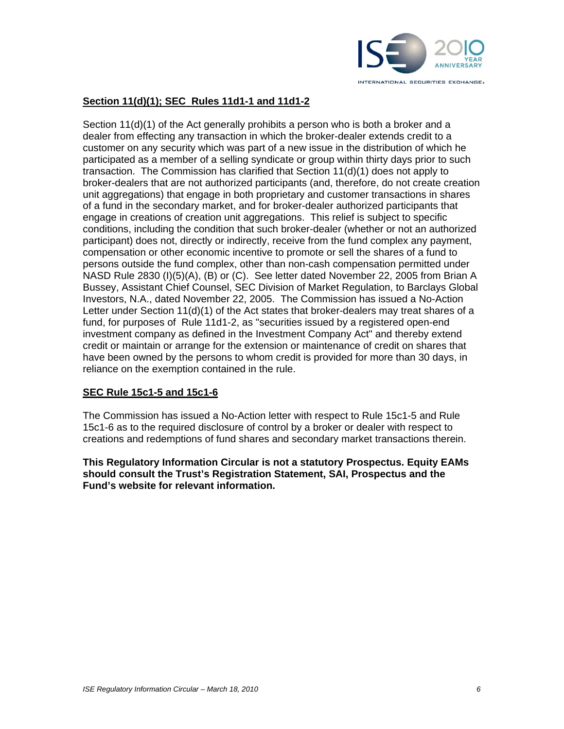

# **Section 11(d)(1); SEC Rules 11d1-1 and 11d1-2**

Section 11(d)(1) of the Act generally prohibits a person who is both a broker and a dealer from effecting any transaction in which the broker-dealer extends credit to a customer on any security which was part of a new issue in the distribution of which he participated as a member of a selling syndicate or group within thirty days prior to such transaction. The Commission has clarified that Section 11(d)(1) does not apply to broker-dealers that are not authorized participants (and, therefore, do not create creation unit aggregations) that engage in both proprietary and customer transactions in shares of a fund in the secondary market, and for broker-dealer authorized participants that engage in creations of creation unit aggregations. This relief is subject to specific conditions, including the condition that such broker-dealer (whether or not an authorized participant) does not, directly or indirectly, receive from the fund complex any payment, compensation or other economic incentive to promote or sell the shares of a fund to persons outside the fund complex, other than non-cash compensation permitted under NASD Rule 2830 (I)(5)(A), (B) or (C). See letter dated November 22, 2005 from Brian A Bussey, Assistant Chief Counsel, SEC Division of Market Regulation, to Barclays Global Investors, N.A., dated November 22, 2005. The Commission has issued a No-Action Letter under Section 11(d)(1) of the Act states that broker-dealers may treat shares of a fund, for purposes of Rule 11d1-2, as "securities issued by a registered open-end investment company as defined in the Investment Company Act" and thereby extend credit or maintain or arrange for the extension or maintenance of credit on shares that have been owned by the persons to whom credit is provided for more than 30 days, in reliance on the exemption contained in the rule.

## **SEC Rule 15c1-5 and 15c1-6**

The Commission has issued a No-Action letter with respect to Rule 15c1-5 and Rule 15c1-6 as to the required disclosure of control by a broker or dealer with respect to creations and redemptions of fund shares and secondary market transactions therein.

#### **This Regulatory Information Circular is not a statutory Prospectus. Equity EAMs should consult the Trust's Registration Statement, SAI, Prospectus and the Fund's website for relevant information.**